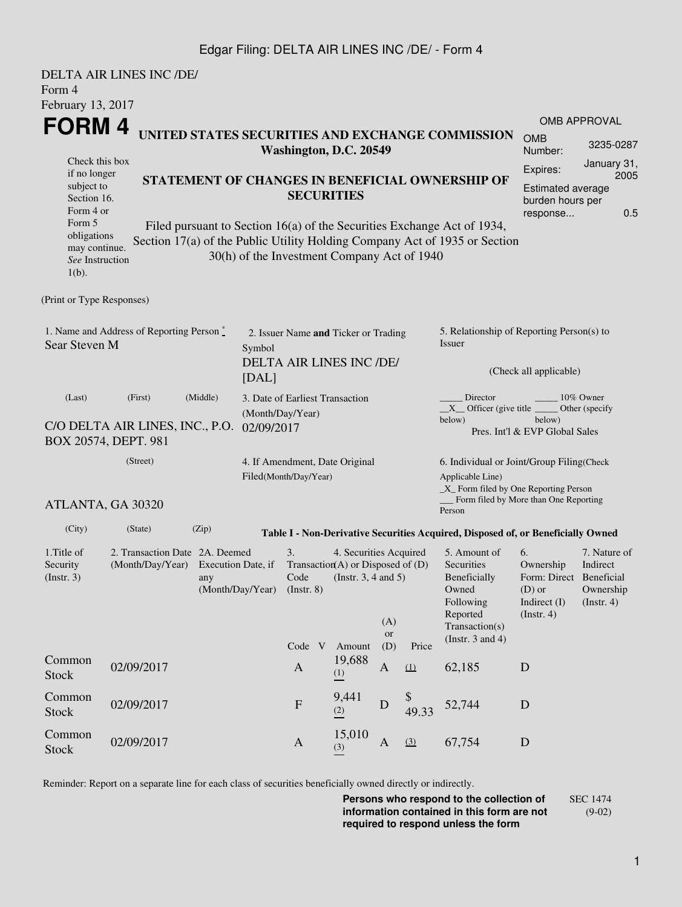### Edgar Filing: DELTA AIR LINES INC /DE/ - Form 4

| Form 4                                                                                                                                            | DELTA AIR LINES INC /DE/                                              |                                                                                                                                                                                                                                                                              |                                                                                     |                                 |                                                                                                          |                                                                                                                                                              |           |                                                                                                                         |                                                                                                                                                    |                     |  |
|---------------------------------------------------------------------------------------------------------------------------------------------------|-----------------------------------------------------------------------|------------------------------------------------------------------------------------------------------------------------------------------------------------------------------------------------------------------------------------------------------------------------------|-------------------------------------------------------------------------------------|---------------------------------|----------------------------------------------------------------------------------------------------------|--------------------------------------------------------------------------------------------------------------------------------------------------------------|-----------|-------------------------------------------------------------------------------------------------------------------------|----------------------------------------------------------------------------------------------------------------------------------------------------|---------------------|--|
| February 13, 2017                                                                                                                                 |                                                                       |                                                                                                                                                                                                                                                                              |                                                                                     |                                 |                                                                                                          |                                                                                                                                                              |           |                                                                                                                         |                                                                                                                                                    |                     |  |
| FORM 4                                                                                                                                            |                                                                       |                                                                                                                                                                                                                                                                              |                                                                                     |                                 |                                                                                                          |                                                                                                                                                              |           |                                                                                                                         |                                                                                                                                                    | <b>OMB APPROVAL</b> |  |
|                                                                                                                                                   |                                                                       |                                                                                                                                                                                                                                                                              | Washington, D.C. 20549                                                              |                                 | UNITED STATES SECURITIES AND EXCHANGE COMMISSION                                                         | <b>OMB</b><br>Number:                                                                                                                                        | 3235-0287 |                                                                                                                         |                                                                                                                                                    |                     |  |
| Check this box<br>if no longer<br>subject to<br>Section 16.<br>Form 4 or<br>Form 5<br>obligations<br>may continue.<br>See Instruction<br>$1(b)$ . |                                                                       | STATEMENT OF CHANGES IN BENEFICIAL OWNERSHIP OF<br><b>SECURITIES</b><br>Filed pursuant to Section 16(a) of the Securities Exchange Act of 1934,<br>Section 17(a) of the Public Utility Holding Company Act of 1935 or Section<br>30(h) of the Investment Company Act of 1940 |                                                                                     |                                 |                                                                                                          |                                                                                                                                                              |           |                                                                                                                         |                                                                                                                                                    |                     |  |
| (Print or Type Responses)                                                                                                                         |                                                                       |                                                                                                                                                                                                                                                                              |                                                                                     |                                 |                                                                                                          |                                                                                                                                                              |           |                                                                                                                         |                                                                                                                                                    |                     |  |
| 1. Name and Address of Reporting Person $\degree$<br>Sear Steven M                                                                                |                                                                       |                                                                                                                                                                                                                                                                              | 2. Issuer Name and Ticker or Trading<br>Symbol<br>DELTA AIR LINES INC /DE/<br>[DAL] |                                 |                                                                                                          |                                                                                                                                                              |           | 5. Relationship of Reporting Person(s) to<br>Issuer<br>(Check all applicable)                                           |                                                                                                                                                    |                     |  |
| (Last)<br>C/O DELTA AIR LINES, INC., P.O.<br>BOX 20574, DEPT. 981                                                                                 | 3. Date of Earliest Transaction<br>(Month/Day/Year)<br>02/09/2017     |                                                                                                                                                                                                                                                                              |                                                                                     |                                 |                                                                                                          | Director<br>$10\%$ Owner<br>$X$ Officer (give title $\frac{X}{X}$<br>Other (specify<br>below)<br>below)<br>Pres. Int'l & EVP Global Sales                    |           |                                                                                                                         |                                                                                                                                                    |                     |  |
| ATLANTA, GA 30320                                                                                                                                 | 4. If Amendment, Date Original<br>Filed(Month/Day/Year)               |                                                                                                                                                                                                                                                                              |                                                                                     |                                 |                                                                                                          | 6. Individual or Joint/Group Filing(Check<br>Applicable Line)<br>$\_X$ Form filed by One Reporting Person<br>Form filed by More than One Reporting<br>Person |           |                                                                                                                         |                                                                                                                                                    |                     |  |
| (City)                                                                                                                                            | (State)                                                               | (Zip)                                                                                                                                                                                                                                                                        |                                                                                     |                                 |                                                                                                          |                                                                                                                                                              |           | Table I - Non-Derivative Securities Acquired, Disposed of, or Beneficially Owned                                        |                                                                                                                                                    |                     |  |
| 1. Title of<br>Security<br>(Insert. 3)                                                                                                            | 2. Transaction Date 2A. Deemed<br>(Month/Day/Year) Execution Date, if | any                                                                                                                                                                                                                                                                          | (Month/Day/Year)                                                                    | 3.<br>$($ Instr. $8)$<br>Code V | 4. Securities Acquired<br>Transaction(A) or Disposed of $(D)$<br>Code (Instr. $3, 4$ and $5$ )<br>Amount | (A)<br>or<br>(D)                                                                                                                                             | Price     | 5. Amount of<br>Securities<br>Beneficially<br>Owned<br>Following<br>Reported<br>Transaction(s)<br>(Instr. $3$ and $4$ ) | 6.<br>7. Nature of<br>Ownership<br>Indirect<br>Form: Direct Beneficial<br>$(D)$ or<br>Ownership<br>Indirect (I)<br>(Insert. 4)<br>$($ Instr. 4 $)$ |                     |  |
| Common<br><b>Stock</b>                                                                                                                            | 02/09/2017                                                            |                                                                                                                                                                                                                                                                              |                                                                                     | $\mathbf{A}$                    | 19,688<br>(1)                                                                                            | A                                                                                                                                                            | (1)       | 62,185                                                                                                                  | $\mathbf D$                                                                                                                                        |                     |  |
| Common<br><b>Stock</b>                                                                                                                            | 02/09/2017                                                            |                                                                                                                                                                                                                                                                              |                                                                                     | ${\bf F}$                       | 9,441<br>(2)                                                                                             | D                                                                                                                                                            | 49.33     | 52,744                                                                                                                  | D                                                                                                                                                  |                     |  |
| Common<br><b>Stock</b>                                                                                                                            | 02/09/2017                                                            |                                                                                                                                                                                                                                                                              |                                                                                     | $\mathbf{A}$                    | 15,010<br>(3)                                                                                            | $\mathbf{A}$                                                                                                                                                 | (3)       | 67,754                                                                                                                  | $\mathbf D$                                                                                                                                        |                     |  |

Reminder: Report on a separate line for each class of securities beneficially owned directly or indirectly.

**Persons who respond to the collection of information contained in this form are not required to respond unless the form** SEC 1474 (9-02)